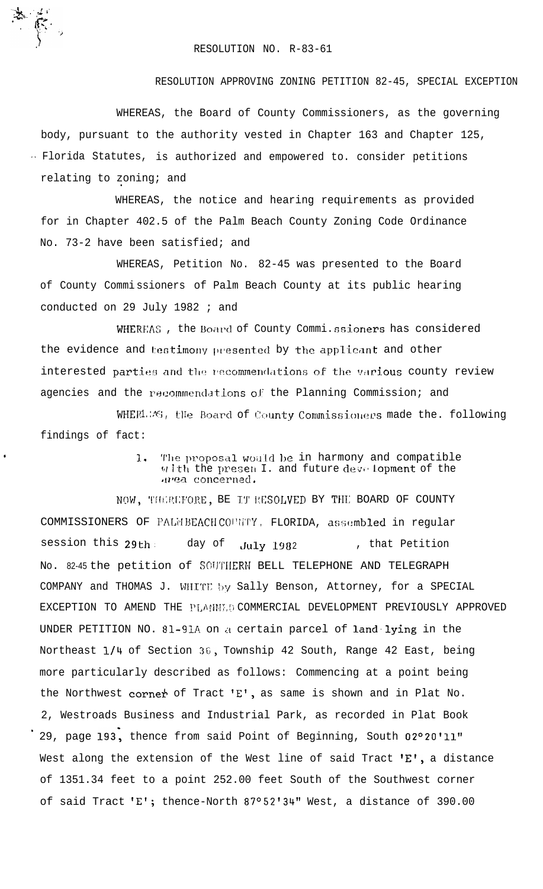## RESOLUTION NO. R-83-61

RESOLUTION APPROVING ZONING PETITION 82-45, SPECIAL EXCEPTION

WHEREAS, the Board of County Commissioners, as the governing body, pursuant to the authority vested in Chapter 163 and Chapter 125, · Florida Statutes, is authorized and empowered to. consider petitions relating to zoning; and

WHEREAS, the notice and hearing requirements as provided for in Chapter 402.5 of the Palm Beach County Zoning Code Ordinance No. 73-2 have been satisfied; and

WHEREAS, Petition No. 82-45 was presented to the Board of County Commissioners of Palm Beach County at its public hearing conducted on 29 July 1982 ; and

WHEREAS, the Board of County Commi.ssioners has considered the evidence and testimony presented by the applicant and other interested parties and the recommendations of the various county review agencies and the recommendations of the Planning Commission; and

WHERLEAS, the Board of County Commissioners made the. following findings of fact:

> $\overline{1}$ . The proposal would be in harmony and compatible with the presen I. and future development of the area concerned.

NOW, THEREFORE, BE IT RESOLVED BY THE BOARD OF COUNTY COMMISSIONERS OF PALMBEACHCOUNTY, FLORIDA, assembled in regular session this 29th day of , that Petition July 1982 No. 82-45 the petition of SOUTHERN BELL TELEPHONE AND TELEGRAPH COMPANY and THOMAS J. WHITE by Sally Benson, Attorney, for a SPECIAL EXCEPTION TO AMEND THE PLANMED COMMERCIAL DEVELOPMENT PREVIOUSLY APPROVED UNDER PETITION NO. 81-91A on a certain parcel of land lying in the Northeast 1/4 of Section 36, Township 42 South, Range 42 East, being more particularly described as follows: Commencing at a point being the Northwest corner of Tract 'E', as same is shown and in Plat No. 2, Westroads Business and Industrial Park, as recorded in Plat Book 29, page 193, thence from said Point of Beginning, South 02°20'11" West along the extension of the West line of said Tract 'E', a distance of 1351.34 feet to a point 252.00 feet South of the Southwest corner of said Tract 'E'; thence-North 87°52'34" West, a distance of 390.00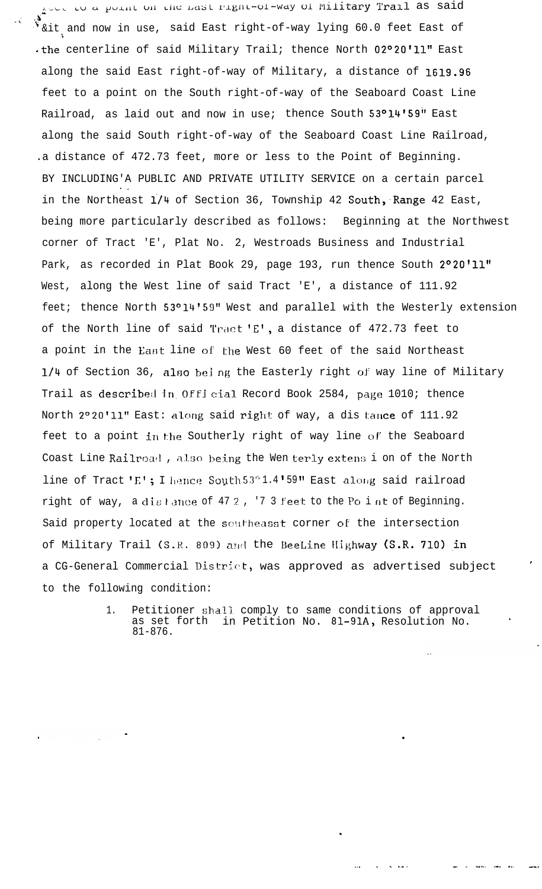Loop to a point on the mast right-of-way of Military Trail as said &it and now in use, said East right-of-way lying 60.0 feet East of .the centerline of said Military Trail; thence North 02°20'll" East along the said East right-of-way of Military, a distance of 1619.96 feet to a point on the South right-of-way of the Seaboard Coast Line Railroad, as laid out and now in use; thence South 53°14'59" East along the said South right-of-way of the Seaboard Coast Line Railroad, .a distance of 472.73 feet, more or less to the Point of Beginning. BY INCLUDING'A PUBLIC AND PRIVATE UTILITY SERVICE on a certain parcel in the Northeast 1/4 of Section 36, Township 42 South, Range 42 East, being more particularly described as follows: Beginning at the Northwest corner of Tract 'E', Plat No. 2, Westroads Business and Industrial Park, as recorded in Plat Book 29, page 193, run thence South 2°20'11" West, along the West line of said Tract 'E', a distance of 111.92 feet; thence North 53°14'59" West and parallel with the Westerly extension of the North line of said Tract 'E', a distance of 472.73 feet to a point in the East line of the West 60 feet of the said Northeast 1/4 of Section 36, also being the Easterly right of way line of Military Trail as described in Official Record Book 2584, page 1010; thence North 2°20'11" East: along said right of way, a dis tance of 111.92 feet to a point in the Southerly right of way line of the Seaboard Coast Line Railroad, also being the Wen terly extens i on of the North line of Tract 'E'; I hance South 53"1.4'59" East along said railroad right of way, a distance of 472, '73 feet to the Po int of Beginning. Said property located at the southeasst corner of the intersection of Military Trail (S.R. 809) and the BeeLine Highway (S.R. 710) in a CG-General Commercial District, was approved as advertised subject to the following condition:

> Petitioner shall comply to same conditions of approval<br>as set forth in Petition No. 81-91A, Resolution No.  $1<sub>1</sub>$  $81 - 876$ .

> > $\mathcal{L} = \mathcal{L} \mathcal{L}$  .